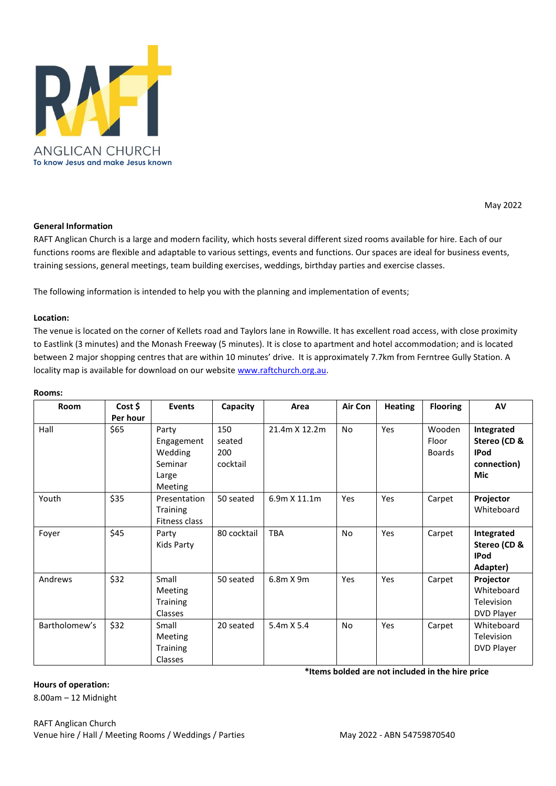

### May 2022

#### **General Information**

RAFT Anglican Church is a large and modern facility, which hosts several different sized rooms available for hire. Each of our functions rooms are flexible and adaptable to various settings, events and functions. Our spaces are ideal for business events, training sessions, general meetings, team building exercises, weddings, birthday parties and exercise classes.

The following information is intended to help you with the planning and implementation of events;

#### **Location:**

The venue is located on the corner of Kellets road and Taylors lane in Rowville. It has excellent road access, with close proximity to Eastlink (3 minutes) and the Monash Freeway (5 minutes). It is close to apartment and hotel accommodation; and is located between 2 major shopping centres that are within 10 minutes' drive. It is approximately 7.7km from Ferntree Gully Station. A locality map is available for download on our websit[e www.raftchurch.org.au.](http://www.raftchurch.org.au/)

| <b>Room</b>   | Cost \$<br>Per hour | <b>Events</b>                                                 | Capacity                         | Area          | Air Con   | <b>Heating</b> | <b>Flooring</b>                  | AV                                                                     |
|---------------|---------------------|---------------------------------------------------------------|----------------------------------|---------------|-----------|----------------|----------------------------------|------------------------------------------------------------------------|
| Hall          | \$65                | Party<br>Engagement<br>Wedding<br>Seminar<br>Large<br>Meeting | 150<br>seated<br>200<br>cocktail | 21.4m X 12.2m | <b>No</b> | Yes            | Wooden<br>Floor<br><b>Boards</b> | Integrated<br>Stereo (CD &<br><b>IPod</b><br>connection)<br><b>Mic</b> |
| Youth         | \$35                | Presentation<br>Training<br>Fitness class                     | 50 seated                        | 6.9m X 11.1m  | Yes       | Yes            | Carpet                           | Projector<br>Whiteboard                                                |
| Foyer         | \$45                | Party<br>Kids Party                                           | 80 cocktail                      | <b>TBA</b>    | <b>No</b> | Yes            | Carpet                           | Integrated<br>Stereo (CD &<br><b>IPod</b><br>Adapter)                  |
| Andrews       | \$32                | Small<br>Meeting<br><b>Training</b><br><b>Classes</b>         | 50 seated                        | 6.8m X 9m     | Yes       | Yes            | Carpet                           | Projector<br>Whiteboard<br>Television<br>DVD Player                    |
| Bartholomew's | \$32                | Small<br>Meeting<br><b>Training</b><br><b>Classes</b>         | 20 seated                        | 5.4m X 5.4    | <b>No</b> | Yes            | Carpet                           | Whiteboard<br>Television<br>DVD Player                                 |

#### **Rooms:**

**Hours of operation:**

8.00am – 12 Midnight

RAFT Anglican Church Venue hire / Hall / Meeting Rooms / Weddings / Parties May 2022 - ABN 54759870540

**\*Items bolded are not included in the hire price**